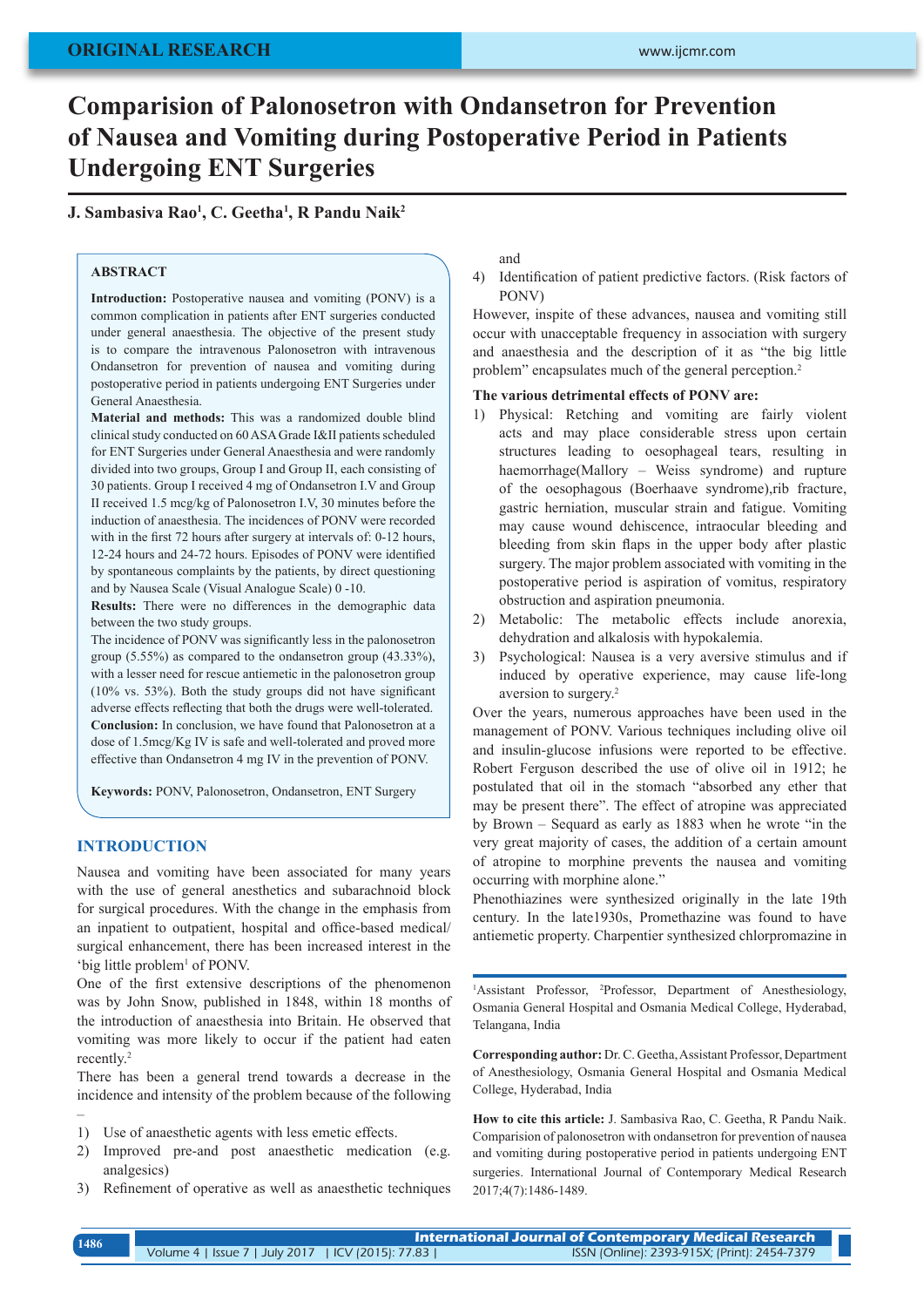# **Comparision of Palonosetron with Ondansetron for Prevention of Nausea and Vomiting during Postoperative Period in Patients Undergoing ENT Surgeries**

**J. Sambasiva Rao1 , C. Geetha1 , R Pandu Naik2**

# **ABSTRACT**

Introduction: Postoperative nausea and vomiting (PONV) is a common complication in patients after ENT surgeries conducted under general anaesthesia. The objective of the present study is to compare the intravenous Palonosetron with intravenous Ondansetron for prevention of nausea and vomiting during postoperative period in patients undergoing ENT Surgeries under General Anaesthesia.

**Material and methods:** This was a randomized double blind clinical study conducted on 60 ASA Grade I&II patients scheduled for ENT Surgeries under General Anaesthesia and were randomly divided into two groups, Group I and Group II, each consisting of 30 patients. Group I received 4 mg of Ondansetron I.V and Group II received 1.5 mcg/kg of Palonosetron I.V, 30 minutes before the induction of anaesthesia. The incidences of PONV were recorded with in the first 72 hours after surgery at intervals of: 0-12 hours, 12-24 hours and 24-72 hours. Episodes of PONV were identified by spontaneous complaints by the patients, by direct questioning and by Nausea Scale (Visual Analogue Scale) 0 -10.

**Results:** There were no differences in the demographic data between the two study groups.

The incidence of PONV was significantly less in the palonosetron group (5.55%) as compared to the ondansetron group (43.33%), with a lesser need for rescue antiemetic in the palonosetron group (10% vs. 53%). Both the study groups did not have significant adverse effects reflecting that both the drugs were well-tolerated. **Conclusion:** In conclusion, we have found that Palonosetron at a dose of 1.5mcg/Kg IV is safe and well-tolerated and proved more effective than Ondansetron 4 mg IV in the prevention of PONV.

**Keywords:** PONV, Palonosetron, Ondansetron, ENT Surgery

#### **INTRODUCTION**

–

Nausea and vomiting have been associated for many years with the use of general anesthetics and subarachnoid block for surgical procedures. With the change in the emphasis from an inpatient to outpatient, hospital and office-based medical/ surgical enhancement, there has been increased interest in the 'big little problem<sup>1</sup> of PONV.

One of the first extensive descriptions of the phenomenon was by John Snow, published in 1848, within 18 months of the introduction of anaesthesia into Britain. He observed that vomiting was more likely to occur if the patient had eaten recently.<sup>2</sup>

There has been a general trend towards a decrease in the incidence and intensity of the problem because of the following

- 1) Use of anaesthetic agents with less emetic effects.
- 2) Improved pre-and post anaesthetic medication (e.g. analgesics)
- 3) Refinement of operative as well as anaesthetic techniques

and

4) Identification of patient predictive factors. (Risk factors of PONV)

However, inspite of these advances, nausea and vomiting still occur with unacceptable frequency in association with surgery and anaesthesia and the description of it as "the big little problem" encapsulates much of the general perception.<sup>2</sup>

#### **The various detrimental effects of PONV are:**

- 1) Physical: Retching and vomiting are fairly violent acts and may place considerable stress upon certain structures leading to oesophageal tears, resulting in haemorrhage(Mallory – Weiss syndrome) and rupture of the oesophagous (Boerhaave syndrome),rib fracture, gastric herniation, muscular strain and fatigue. Vomiting may cause wound dehiscence, intraocular bleeding and bleeding from skin flaps in the upper body after plastic surgery. The major problem associated with vomiting in the postoperative period is aspiration of vomitus, respiratory obstruction and aspiration pneumonia.
- 2) Metabolic: The metabolic effects include anorexia, dehydration and alkalosis with hypokalemia.
- 3) Psychological: Nausea is a very aversive stimulus and if induced by operative experience, may cause life-long aversion to surgery.<sup>2</sup>

Over the years, numerous approaches have been used in the management of PONV. Various techniques including olive oil and insulin-glucose infusions were reported to be effective. Robert Ferguson described the use of olive oil in 1912; he postulated that oil in the stomach "absorbed any ether that may be present there". The effect of atropine was appreciated by Brown – Sequard as early as 1883 when he wrote "in the very great majority of cases, the addition of a certain amount of atropine to morphine prevents the nausea and vomiting occurring with morphine alone."

Phenothiazines were synthesized originally in the late 19th century. In the late1930s, Promethazine was found to have antiemetic property. Charpentier synthesized chlorpromazine in

<sup>1</sup>Assistant Professor, <sup>2</sup>Professor, Department of Anesthesiology, Osmania General Hospital and Osmania Medical College, Hyderabad, Telangana, India

**Corresponding author:** Dr. C. Geetha, Assistant Professor, Department of Anesthesiology, Osmania General Hospital and Osmania Medical College, Hyderabad, India

**How to cite this article:** J. Sambasiva Rao, C. Geetha, R Pandu Naik. Comparision of palonosetron with ondansetron for prevention of nausea and vomiting during postoperative period in patients undergoing ENT surgeries. International Journal of Contemporary Medical Research 2017;4(7):1486-1489.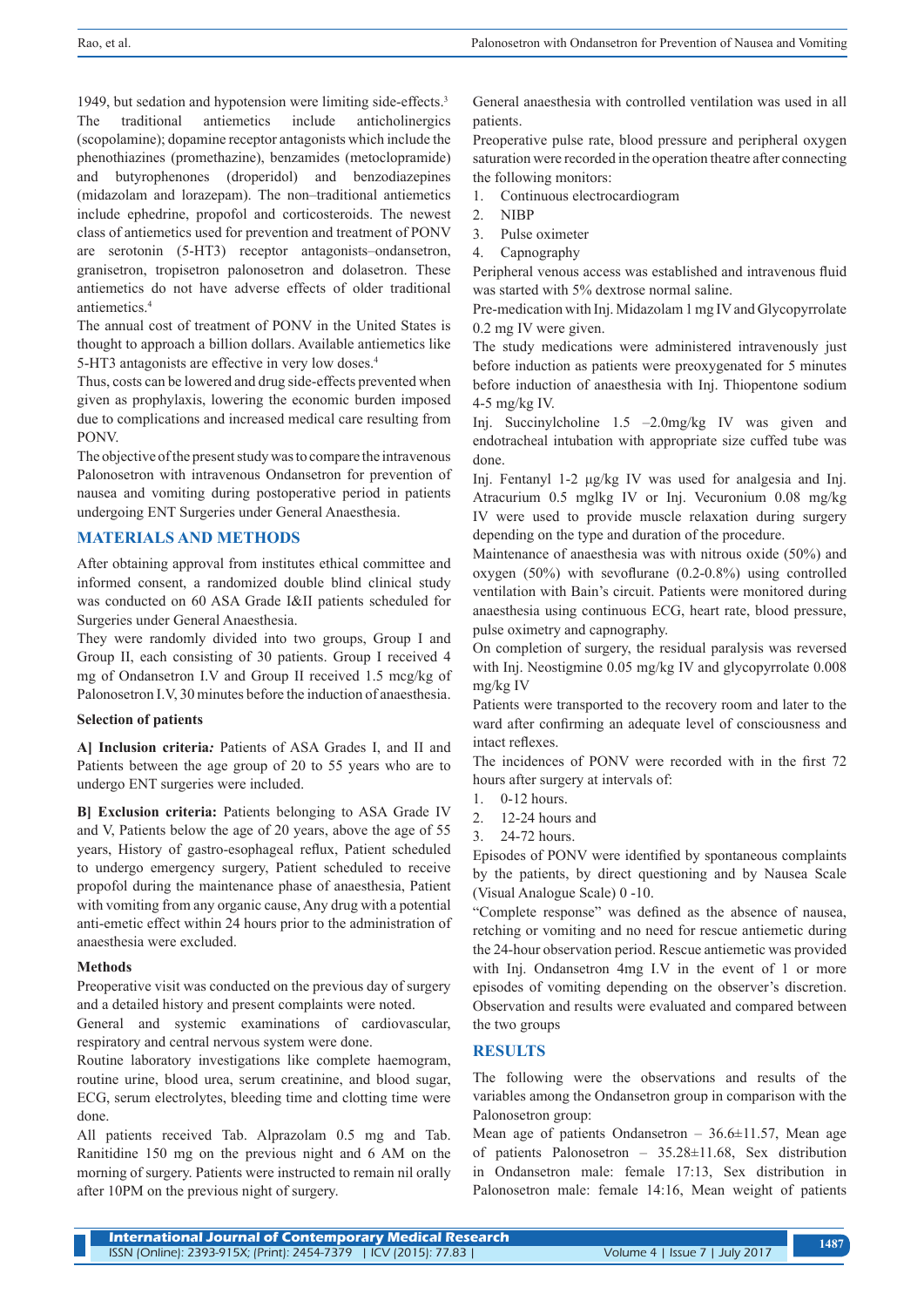1949, but sedation and hypotension were limiting side-effects.<sup>3</sup> The traditional antiemetics include anticholinergics (scopolamine); dopamine receptor antagonists which include the phenothiazines (promethazine), benzamides (metoclopramide) and butyrophenones (droperidol) and benzodiazepines (midazolam and lorazepam). The non–traditional antiemetics include ephedrine, propofol and corticosteroids. The newest class of antiemetics used for prevention and treatment of PONV are serotonin (5-HT3) receptor antagonists–ondansetron, granisetron, tropisetron palonosetron and dolasetron. These antiemetics do not have adverse effects of older traditional antiemetics.4

The annual cost of treatment of PONV in the United States is thought to approach a billion dollars. Available antiemetics like 5-HT3 antagonists are effective in very low doses.<sup>4</sup>

Thus, costs can be lowered and drug side-effects prevented when given as prophylaxis, lowering the economic burden imposed due to complications and increased medical care resulting from PONV.

The objective of the present study was to compare the intravenous Palonosetron with intravenous Ondansetron for prevention of nausea and vomiting during postoperative period in patients undergoing ENT Surgeries under General Anaesthesia.

## **MATERIALS AND METHODS**

After obtaining approval from institutes ethical committee and informed consent, a randomized double blind clinical study was conducted on 60 ASA Grade I&II patients scheduled for Surgeries under General Anaesthesia.

They were randomly divided into two groups, Group I and Group II, each consisting of 30 patients. Group I received 4 mg of Ondansetron I.V and Group II received 1.5 mcg/kg of Palonosetron I.V, 30 minutes before the induction of anaesthesia.

#### **Selection of patients**

**A] Inclusion criteria***:* Patients of ASA Grades I, and II and Patients between the age group of 20 to 55 years who are to undergo ENT surgeries were included.

**B] Exclusion criteria:** Patients belonging to ASA Grade IV and V, Patients below the age of 20 years, above the age of 55 years, History of gastro-esophageal reflux, Patient scheduled to undergo emergency surgery, Patient scheduled to receive propofol during the maintenance phase of anaesthesia, Patient with vomiting from any organic cause, Any drug with a potential anti-emetic effect within 24 hours prior to the administration of anaesthesia were excluded.

## **Methods**

Preoperative visit was conducted on the previous day of surgery and a detailed history and present complaints were noted.

General and systemic examinations of cardiovascular, respiratory and central nervous system were done.

Routine laboratory investigations like complete haemogram, routine urine, blood urea, serum creatinine, and blood sugar, ECG, serum electrolytes, bleeding time and clotting time were done.

All patients received Tab. Alprazolam 0.5 mg and Tab. Ranitidine 150 mg on the previous night and 6 AM on the morning of surgery. Patients were instructed to remain nil orally after 10PM on the previous night of surgery.

General anaesthesia with controlled ventilation was used in all patients.

Preoperative pulse rate, blood pressure and peripheral oxygen saturation were recorded in the operation theatre after connecting the following monitors:

- 1. Continuous electrocardiogram
- 2. NIBP
- 3. Pulse oximeter
- 4. Capnography

Peripheral venous access was established and intravenous fluid was started with 5% dextrose normal saline.

Pre-medication with Inj. Midazolam 1 mg IV and Glycopyrrolate 0.2 mg IV were given.

The study medications were administered intravenously just before induction as patients were preoxygenated for 5 minutes before induction of anaesthesia with Inj. Thiopentone sodium 4-5 mg/kg IV.

Inj. Succinylcholine 1.5 –2.0mg/kg IV was given and endotracheal intubation with appropriate size cuffed tube was done.

Inj. Fentanyl 1-2 μg/kg IV was used for analgesia and Inj. Atracurium 0.5 mglkg IV or Inj. Vecuronium 0.08 mg/kg IV were used to provide muscle relaxation during surgery depending on the type and duration of the procedure.

Maintenance of anaesthesia was with nitrous oxide (50%) and oxygen (50%) with sevoflurane (0.2-0.8%) using controlled ventilation with Bain's circuit. Patients were monitored during anaesthesia using continuous ECG, heart rate, blood pressure, pulse oximetry and capnography.

On completion of surgery, the residual paralysis was reversed with Inj. Neostigmine 0.05 mg/kg IV and glycopyrrolate 0.008 mg/kg IV

Patients were transported to the recovery room and later to the ward after confirming an adequate level of consciousness and intact reflexes.

The incidences of PONV were recorded with in the first 72 hours after surgery at intervals of:

- 1. 0-12 hours.
- 2. 12-24 hours and
- 3. 24-72 hours.

Episodes of PONV were identified by spontaneous complaints by the patients, by direct questioning and by Nausea Scale (Visual Analogue Scale) 0 -10.

"Complete response" was defined as the absence of nausea, retching or vomiting and no need for rescue antiemetic during the 24-hour observation period. Rescue antiemetic was provided with Inj. Ondansetron 4mg I.V in the event of 1 or more episodes of vomiting depending on the observer's discretion. Observation and results were evaluated and compared between the two groups

## **RESULTS**

The following were the observations and results of the variables among the Ondansetron group in comparison with the Palonosetron group:

Mean age of patients Ondansetron –  $36.6 \pm 11.57$ , Mean age of patients Palonosetron – 35.28±11.68, Sex distribution in Ondansetron male: female 17:13, Sex distribution in Palonosetron male: female 14:16, Mean weight of patients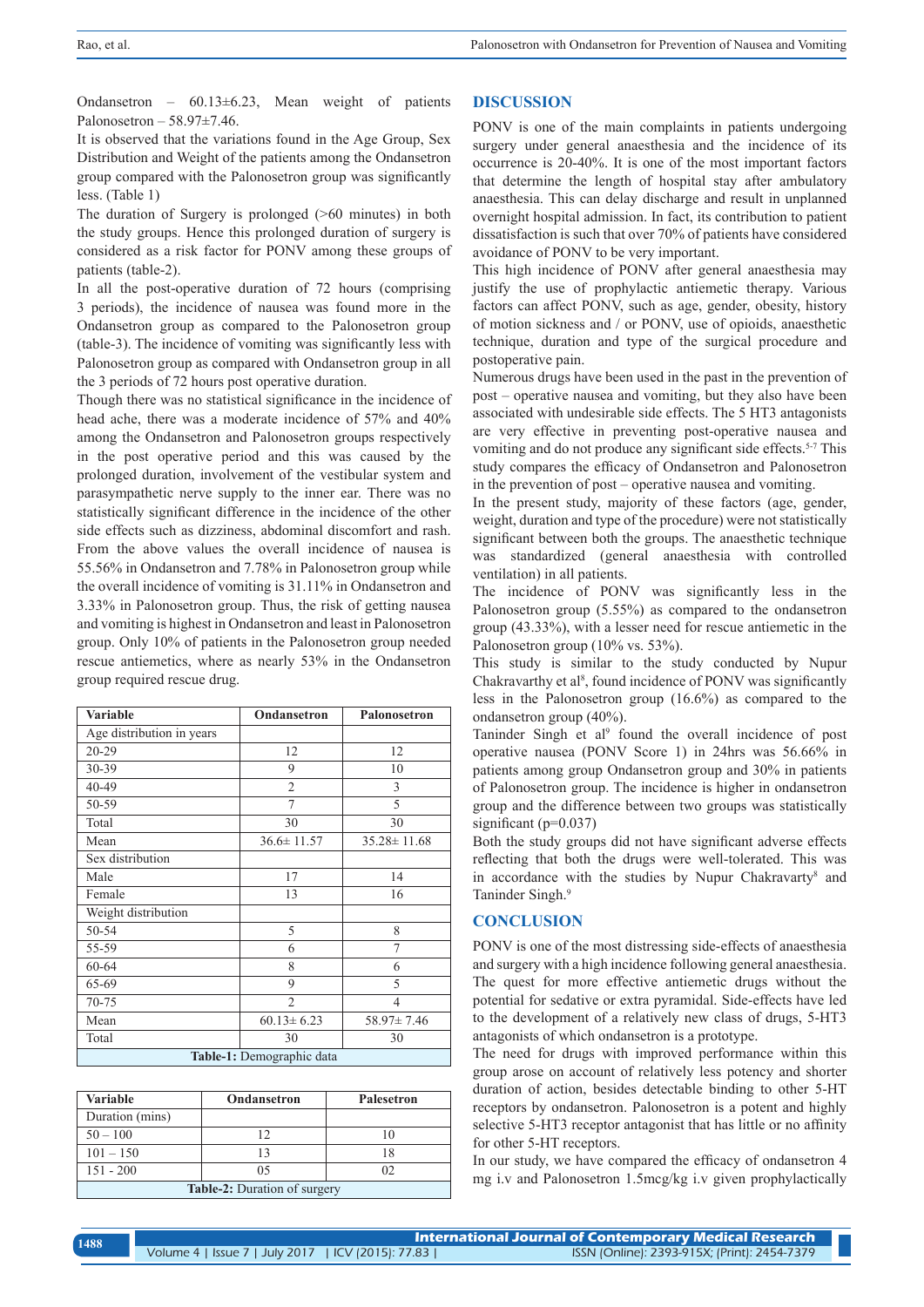Ondansetron –  $60.13\pm6.23$ , Mean weight of patients Palonosetron – 58.97±7.46.

It is observed that the variations found in the Age Group, Sex Distribution and Weight of the patients among the Ondansetron group compared with the Palonosetron group was significantly less. (Table 1)

The duration of Surgery is prolonged (>60 minutes) in both the study groups. Hence this prolonged duration of surgery is considered as a risk factor for PONV among these groups of patients (table-2).

In all the post-operative duration of 72 hours (comprising 3 periods), the incidence of nausea was found more in the Ondansetron group as compared to the Palonosetron group (table-3). The incidence of vomiting was significantly less with Palonosetron group as compared with Ondansetron group in all the 3 periods of 72 hours post operative duration.

Though there was no statistical significance in the incidence of head ache, there was a moderate incidence of 57% and 40% among the Ondansetron and Palonosetron groups respectively in the post operative period and this was caused by the prolonged duration, involvement of the vestibular system and parasympathetic nerve supply to the inner ear. There was no statistically significant difference in the incidence of the other side effects such as dizziness, abdominal discomfort and rash. From the above values the overall incidence of nausea is 55.56% in Ondansetron and 7.78% in Palonosetron group while the overall incidence of vomiting is 31.11% in Ondansetron and 3.33% in Palonosetron group. Thus, the risk of getting nausea and vomiting is highest in Ondansetron and least in Palonosetron group. Only 10% of patients in the Palonosetron group needed rescue antiemetics, where as nearly 53% in the Ondansetron group required rescue drug.

| <b>Variable</b>                  | Ondansetron                          | Palonosetron      |  |  |  |  |
|----------------------------------|--------------------------------------|-------------------|--|--|--|--|
| Age distribution in years        |                                      |                   |  |  |  |  |
| $20 - 29$                        | 12                                   | 12                |  |  |  |  |
| 30-39                            | 9                                    | 10                |  |  |  |  |
| 40-49                            | $\overline{2}$                       | 3                 |  |  |  |  |
| 50-59                            | 7                                    | 5                 |  |  |  |  |
| Total                            | 30                                   | 30                |  |  |  |  |
| Mean                             | $36.6 \pm 11.57$                     | $35.28 \pm 11.68$ |  |  |  |  |
| Sex distribution                 |                                      |                   |  |  |  |  |
| Male                             | 17                                   | 14                |  |  |  |  |
| Female                           | 13                                   | 16                |  |  |  |  |
| Weight distribution              |                                      |                   |  |  |  |  |
| 50-54                            | 5                                    | 8                 |  |  |  |  |
| 55-59                            | 6                                    | 7                 |  |  |  |  |
| 60-64                            | 8                                    | 6                 |  |  |  |  |
| 65-69                            | 9                                    | 5                 |  |  |  |  |
| 70-75                            | $\overline{2}$<br>4                  |                   |  |  |  |  |
| Mean                             | $60.13 \pm 6.23$<br>$58.97 \pm 7.46$ |                   |  |  |  |  |
| Total                            | 30                                   | 30                |  |  |  |  |
| <b>Table-1:</b> Demographic data |                                      |                   |  |  |  |  |

| Variable                            | Ondansetron | <b>Palesetron</b> |  |  |  |
|-------------------------------------|-------------|-------------------|--|--|--|
| Duration (mins)                     |             |                   |  |  |  |
| $50 - 100$                          |             | 10                |  |  |  |
| $101 - 150$                         |             | 18                |  |  |  |
| $151 - 200$                         | 05          | 02                |  |  |  |
| <b>Table-2:</b> Duration of surgery |             |                   |  |  |  |

# **DISCUSSION**

PONV is one of the main complaints in patients undergoing surgery under general anaesthesia and the incidence of its occurrence is 20-40%. It is one of the most important factors that determine the length of hospital stay after ambulatory anaesthesia. This can delay discharge and result in unplanned overnight hospital admission. In fact, its contribution to patient dissatisfaction is such that over 70% of patients have considered avoidance of PONV to be very important.

This high incidence of PONV after general anaesthesia may justify the use of prophylactic antiemetic therapy. Various factors can affect PONV, such as age, gender, obesity, history of motion sickness and / or PONV, use of opioids, anaesthetic technique, duration and type of the surgical procedure and postoperative pain.

Numerous drugs have been used in the past in the prevention of post – operative nausea and vomiting, but they also have been associated with undesirable side effects. The 5 HT3 antagonists are very effective in preventing post-operative nausea and vomiting and do not produce any significant side effects.<sup>5-7</sup> This study compares the efficacy of Ondansetron and Palonosetron in the prevention of post – operative nausea and vomiting.

In the present study, majority of these factors (age, gender, weight, duration and type of the procedure) were not statistically significant between both the groups. The anaesthetic technique was standardized (general anaesthesia with controlled ventilation) in all patients.

The incidence of PONV was significantly less in the Palonosetron group (5.55%) as compared to the ondansetron group (43.33%), with a lesser need for rescue antiemetic in the Palonosetron group (10% vs. 53%).

This study is similar to the study conducted by Nupur Chakravarthy et al<sup>8</sup>, found incidence of PONV was significantly less in the Palonosetron group (16.6%) as compared to the ondansetron group (40%).

Taninder Singh et al<sup>9</sup> found the overall incidence of post operative nausea (PONV Score 1) in 24hrs was 56.66% in patients among group Ondansetron group and 30% in patients of Palonosetron group. The incidence is higher in ondansetron group and the difference between two groups was statistically significant (p=0.037)

Both the study groups did not have significant adverse effects reflecting that both the drugs were well-tolerated. This was in accordance with the studies by Nupur Chakravarty<sup>8</sup> and Taninder Singh.9

## **CONCLUSION**

PONV is one of the most distressing side-effects of anaesthesia and surgery with a high incidence following general anaesthesia. The quest for more effective antiemetic drugs without the potential for sedative or extra pyramidal. Side-effects have led to the development of a relatively new class of drugs, 5-HT3 antagonists of which ondansetron is a prototype.

The need for drugs with improved performance within this group arose on account of relatively less potency and shorter duration of action, besides detectable binding to other 5-HT receptors by ondansetron. Palonosetron is a potent and highly selective 5-HT3 receptor antagonist that has little or no affinity for other 5-HT receptors.

In our study, we have compared the efficacy of ondansetron 4 mg i.v and Palonosetron 1.5mcg/kg i.v given prophylactically